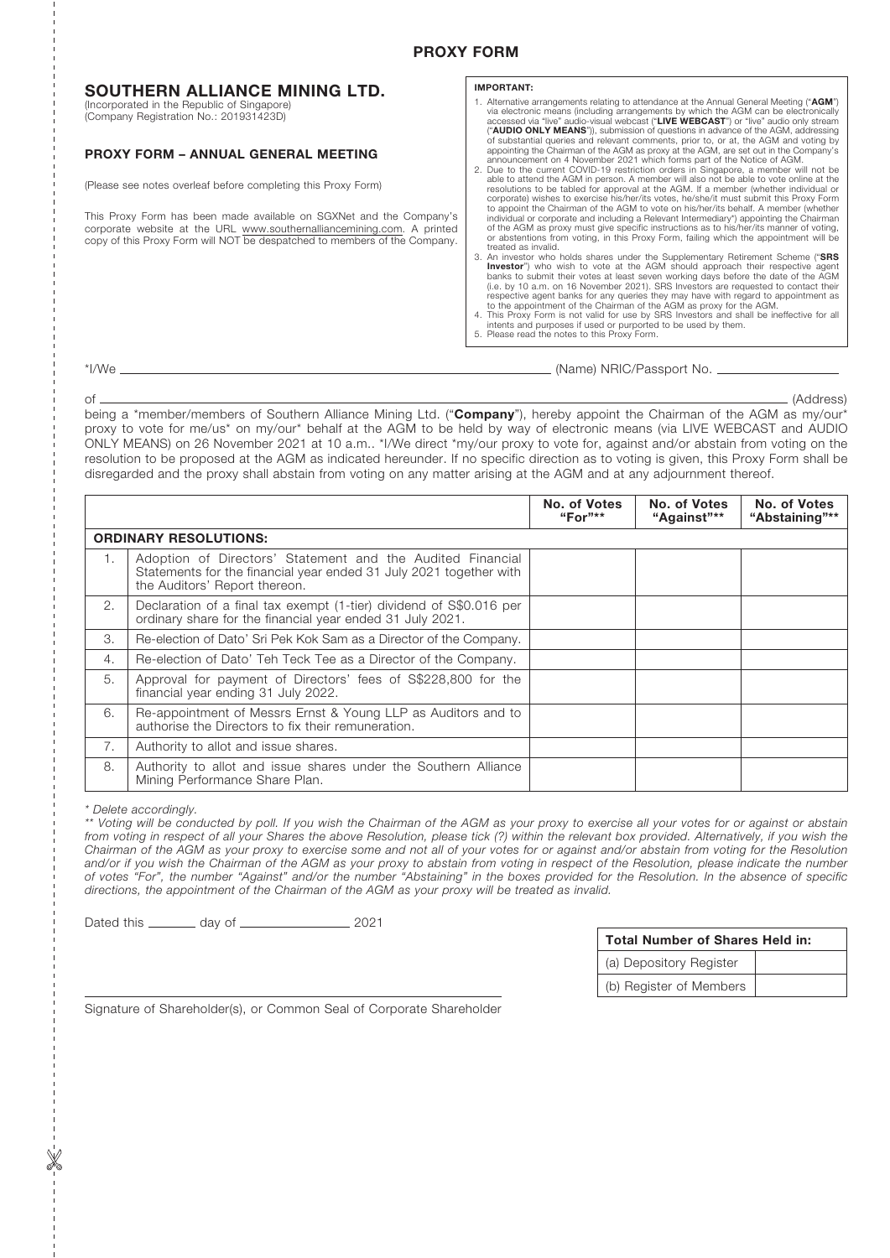# SOUTHERN ALLIANCE MINING LTD.

(Incorporated in the Republic of Singapore) (Company Registration No.: 201931423D)

# PROXY FORM – ANNUAL GENERAL MEETING

(Please see notes overleaf before completing this Proxy Form)

This Proxy Form has been made available on SGXNet and the Company's corporate website at the URL www.southernalliancemining.com. A printed copy of this Proxy Form will NOT be despatched to members of the Company.

## IMPORTANT:

1. Alternative arrangements relating to attendance at the Annual General Meeting ("AGM")<br>ia electronic means (including arrangements by which the AGM can be electronically<br>accessed via "live" audio-visual webcast ("LIVE WE (**"AUDIO ONLY MEANS"**)), submission of questions in advance of the AGM, addressing of substantial queries and relevant comments, prior to, or at, the AGM and voting by appointing the Chairman of the AGM and yorky at the A

able to attend the AGM in person. A member will also not be able to vote online at the<br>resolutions to be tabled for approval at the AGM. If a member (whether individual or<br>corporate) wishes to exercise his/her/its votes, h to appoint the Chairman of the AGM to vote on his/her/its behalf. A member (whether<br>individual or corporate and including a Relevant Intermediary°) appointing the Chairman<br>of the AGM as proxy must give specific instruction or abstentions from voting, in this Proxy Form, failing which the appointment will be

treated as invalid.<br>3. An investor who holds shares under the Supplementary Retirement Scheme ("SRS **Investor**") who wish to vote at the AGM should approach their respective agent<br>banks to submit their votes at least seven working days before the date of the AGM<br>(i.e. by 10 a.m. on 16 November 2021). SRS Investors are re respective agent banks for any queries they may have with regard to appointment as<br>to the appointment of the Chairman of the AGM as proxy for the AGM.<br>4. This Proxy Form is not valid for use by SRS Investors and shall be i

- 
- intents and purposes if used or purported to be used by them. 5. Please read the notes to this Proxy Form.

\*I/We (Name) NRIC/Passport No.

of (Address) being a \*member/members of Southern Alliance Mining Ltd. ("Company"), hereby appoint the Chairman of the AGM as my/our\* proxy to vote for me/us\* on my/our\* behalf at the AGM to be held by way of electronic means (via LIVE WEBCAST and AUDIO ONLY MEANS) on 26 November 2021 at 10 a.m.. \*I/We direct \*my/our proxy to vote for, against and/or abstain from voting on the resolution to be proposed at the AGM as indicated hereunder. If no specific direction as to voting is given, this Proxy Form shall be disregarded and the proxy shall abstain from voting on any matter arising at the AGM and at any adjournment thereof.

|                              |                                                                                                                                                                   | No. of Votes<br>"For"** | No. of Votes<br>"Against"** | No. of Votes<br>"Abstaining"** |
|------------------------------|-------------------------------------------------------------------------------------------------------------------------------------------------------------------|-------------------------|-----------------------------|--------------------------------|
| <b>ORDINARY RESOLUTIONS:</b> |                                                                                                                                                                   |                         |                             |                                |
| 1.                           | Adoption of Directors' Statement and the Audited Financial<br>Statements for the financial year ended 31 July 2021 together with<br>the Auditors' Report thereon. |                         |                             |                                |
| 2.                           | Declaration of a final tax exempt (1-tier) dividend of S\$0.016 per<br>ordinary share for the financial year ended 31 July 2021.                                  |                         |                             |                                |
| 3.                           | Re-election of Dato' Sri Pek Kok Sam as a Director of the Company.                                                                                                |                         |                             |                                |
| 4.                           | Re-election of Dato' Teh Teck Tee as a Director of the Company.                                                                                                   |                         |                             |                                |
| 5.                           | Approval for payment of Directors' fees of S\$228,800 for the<br>financial year ending 31 July 2022.                                                              |                         |                             |                                |
| 6.                           | Re-appointment of Messrs Ernst & Young LLP as Auditors and to<br>authorise the Directors to fix their remuneration.                                               |                         |                             |                                |
| 7.                           | Authority to allot and issue shares.                                                                                                                              |                         |                             |                                |
| 8.                           | Authority to allot and issue shares under the Southern Alliance<br>Mining Performance Share Plan.                                                                 |                         |                             |                                |

*\* Delete accordingly.*

*\*\* Voting will be conducted by poll. If you wish the Chairman of the AGM as your proxy to exercise all your votes for or against or abstain from voting in respect of all your Shares the above Resolution, please tick (?) within the relevant box provided. Alternatively, if you wish the Chairman of the AGM as your proxy to exercise some and not all of your votes for or against and/or abstain from voting for the Resolution*  and/or if you wish the Chairman of the AGM as your proxy to abstain from voting in respect of the Resolution, please indicate the number *of votes "For", the number "Against" and/or the number "Abstaining" in the boxes provided for the Resolution. In the absence of specific directions, the appointment of the Chairman of the AGM as your proxy will be treated as invalid.*

Dated this \_\_\_\_\_\_\_\_ day of \_\_\_\_\_\_\_\_\_\_\_\_\_\_\_\_\_\_\_\_\_ 2021

| <b>Total Number of Shares Held in:</b> |  |  |  |
|----------------------------------------|--|--|--|
| (a) Depository Register                |  |  |  |
| (b) Register of Members                |  |  |  |

Signature of Shareholder(s), or Common Seal of Corporate Shareholder